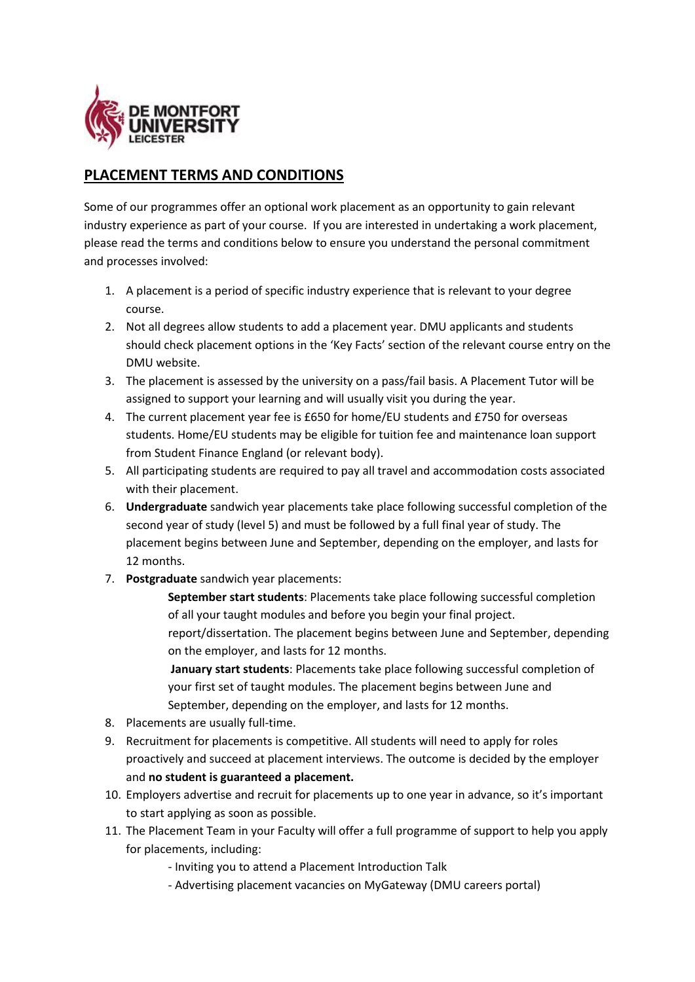

## **PLACEMENT TERMS AND CONDITIONS**

Some of our programmes offer an optional work placement as an opportunity to gain relevant industry experience as part of your course. If you are interested in undertaking a work placement, please read the terms and conditions below to ensure you understand the personal commitment and processes involved:

- 1. A placement is a period of specific industry experience that is relevant to your degree course.
- 2. Not all degrees allow students to add a placement year. DMU applicants and students should check placement options in the 'Key Facts' section of the relevant course entry on the DMU website.
- 3. The placement is assessed by the university on a pass/fail basis. A Placement Tutor will be assigned to support your learning and will usually visit you during the year.
- 4. The current placement year fee is £650 for home/EU students and £750 for overseas students. Home/EU students may be eligible for tuition fee and maintenance loan support from Student Finance England (or relevant body).
- 5. All participating students are required to pay all travel and accommodation costs associated with their placement.
- 6. **Undergraduate** sandwich year placements take place following successful completion of the second year of study (level 5) and must be followed by a full final year of study. The placement begins between June and September, depending on the employer, and lasts for 12 months.
- 7. **Postgraduate** sandwich year placements:

**September start students**: Placements take place following successful completion of all your taught modules and before you begin your final project. report/dissertation. The placement begins between June and September, depending on the employer, and lasts for 12 months.

**January start students**: Placements take place following successful completion of your first set of taught modules. The placement begins between June and September, depending on the employer, and lasts for 12 months.

- 8. Placements are usually full-time.
- 9. Recruitment for placements is competitive. All students will need to apply for roles proactively and succeed at placement interviews. The outcome is decided by the employer and **no student is guaranteed a placement.**
- 10. Employers advertise and recruit for placements up to one year in advance, so it's important to start applying as soon as possible.
- 11. The Placement Team in your Faculty will offer a full programme of support to help you apply for placements, including:
	- Inviting you to attend a Placement Introduction Talk
	- Advertising placement vacancies on MyGateway (DMU careers portal)